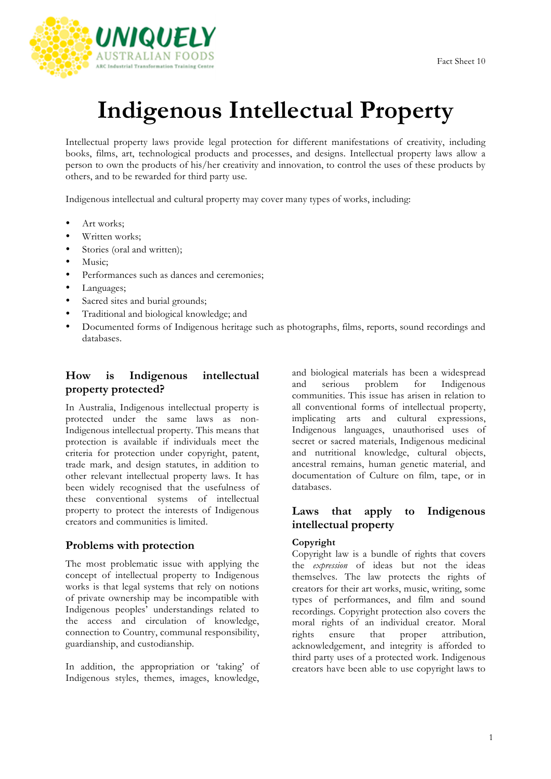

# **Indigenous Intellectual Property**

Intellectual property laws provide legal protection for different manifestations of creativity, including books, films, art, technological products and processes, and designs. Intellectual property laws allow a person to own the products of his/her creativity and innovation, to control the uses of these products by others, and to be rewarded for third party use.

Indigenous intellectual and cultural property may cover many types of works, including:

- Art works;
- Written works;
- Stories (oral and written);
- Music:
- Performances such as dances and ceremonies;
- Languages;
- Sacred sites and burial grounds;
- Traditional and biological knowledge; and
- Documented forms of Indigenous heritage such as photographs, films, reports, sound recordings and databases.

## **How is Indigenous intellectual property protected?**

In Australia, Indigenous intellectual property is protected under the same laws as non-Indigenous intellectual property. This means that protection is available if individuals meet the criteria for protection under copyright, patent, trade mark, and design statutes, in addition to other relevant intellectual property laws. It has been widely recognised that the usefulness of these conventional systems of intellectual property to protect the interests of Indigenous creators and communities is limited.

# **Problems with protection**

The most problematic issue with applying the concept of intellectual property to Indigenous works is that legal systems that rely on notions of private ownership may be incompatible with Indigenous peoples' understandings related to the access and circulation of knowledge, connection to Country, communal responsibility, guardianship, and custodianship.

In addition, the appropriation or 'taking' of Indigenous styles, themes, images, knowledge, and biological materials has been a widespread and serious problem for Indigenous communities. This issue has arisen in relation to all conventional forms of intellectual property, implicating arts and cultural expressions, Indigenous languages, unauthorised uses of secret or sacred materials, Indigenous medicinal and nutritional knowledge, cultural objects, ancestral remains, human genetic material, and documentation of Culture on film, tape, or in databases.

# **Laws that apply to Indigenous intellectual property**

## **Copyright**

Copyright law is a bundle of rights that covers the *expression* of ideas but not the ideas themselves. The law protects the rights of creators for their art works, music, writing, some types of performances, and film and sound recordings. Copyright protection also covers the moral rights of an individual creator. Moral rights ensure that proper attribution, acknowledgement, and integrity is afforded to third party uses of a protected work. Indigenous creators have been able to use copyright laws to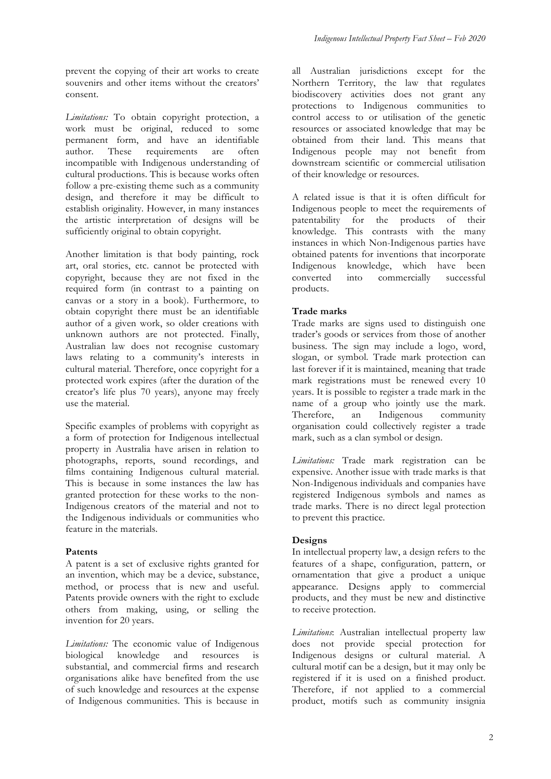prevent the copying of their art works to create souvenirs and other items without the creators' consent.

*Limitations:* To obtain copyright protection, a work must be original, reduced to some permanent form, and have an identifiable author. These requirements are often incompatible with Indigenous understanding of cultural productions. This is because works often follow a pre-existing theme such as a community design, and therefore it may be difficult to establish originality. However, in many instances the artistic interpretation of designs will be sufficiently original to obtain copyright.

Another limitation is that body painting, rock art, oral stories, etc. cannot be protected with copyright, because they are not fixed in the required form (in contrast to a painting on canvas or a story in a book). Furthermore, to obtain copyright there must be an identifiable author of a given work, so older creations with unknown authors are not protected. Finally, Australian law does not recognise customary laws relating to a community's interests in cultural material. Therefore, once copyright for a protected work expires (after the duration of the creator's life plus 70 years), anyone may freely use the material.

Specific examples of problems with copyright as a form of protection for Indigenous intellectual property in Australia have arisen in relation to photographs, reports, sound recordings, and films containing Indigenous cultural material. This is because in some instances the law has granted protection for these works to the non-Indigenous creators of the material and not to the Indigenous individuals or communities who feature in the materials.

#### **Patents**

A patent is a set of exclusive rights granted for an invention, which may be a device, substance, method, or process that is new and useful. Patents provide owners with the right to exclude others from making, using, or selling the invention for 20 years.

Limitations: The economic value of Indigenous biological knowledge and resources is substantial, and commercial firms and research organisations alike have benefited from the use of such knowledge and resources at the expense of Indigenous communities. This is because in all Australian jurisdictions except for the Northern Territory, the law that regulates biodiscovery activities does not grant any protections to Indigenous communities to control access to or utilisation of the genetic resources or associated knowledge that may be obtained from their land. This means that Indigenous people may not benefit from downstream scientific or commercial utilisation of their knowledge or resources.

A related issue is that it is often difficult for Indigenous people to meet the requirements of patentability for the products of their knowledge. This contrasts with the many instances in which Non-Indigenous parties have obtained patents for inventions that incorporate Indigenous knowledge, which have been converted into commercially successful products.

## **Trade marks**

Trade marks are signs used to distinguish one trader's goods or services from those of another business. The sign may include a logo, word, slogan, or symbol. Trade mark protection can last forever if it is maintained, meaning that trade mark registrations must be renewed every 10 years. It is possible to register a trade mark in the name of a group who jointly use the mark.<br>Therefore, an Indigenous community Therefore, an Indigenous community organisation could collectively register a trade mark, such as a clan symbol or design.

*Limitations:* Trade mark registration can be expensive. Another issue with trade marks is that Non-Indigenous individuals and companies have registered Indigenous symbols and names as trade marks. There is no direct legal protection to prevent this practice.

#### **Designs**

In intellectual property law, a design refers to the features of a shape, configuration, pattern, or ornamentation that give a product a unique appearance. Designs apply to commercial products, and they must be new and distinctive to receive protection.

*Limitations*: Australian intellectual property law does not provide special protection for Indigenous designs or cultural material. A cultural motif can be a design, but it may only be registered if it is used on a finished product. Therefore, if not applied to a commercial product, motifs such as community insignia